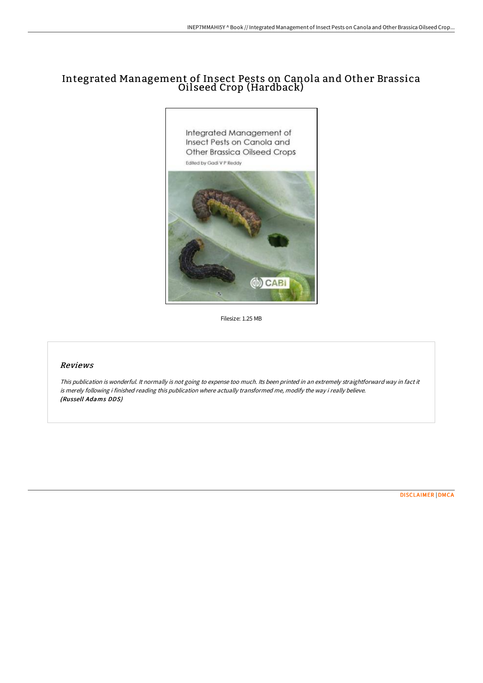# Integrated Management of Insect Pests on Canola and Other Brassica Oilseed Crop (Hardback)



Filesize: 1.25 MB

### Reviews

This publication is wonderful. It normally is not going to expense too much. Its been printed in an extremely straightforward way in fact it is merely following i finished reading this publication where actually transformed me, modify the way i really believe. (Russell Adams DDS)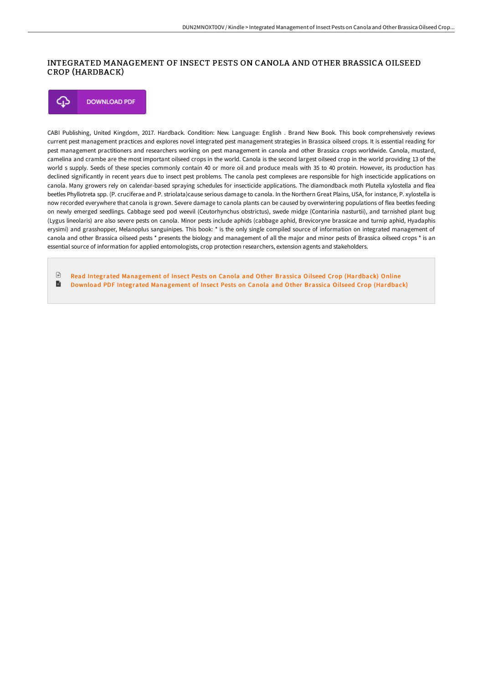## INTEGRATED MANAGEMENT OF INSECT PESTS ON CANOLA AND OTHER BRASSICA OILSEED CROP (HARDBACK)

**DOWNLOAD PDF** ⊕

CABI Publishing, United Kingdom, 2017. Hardback. Condition: New. Language: English . Brand New Book. This book comprehensively reviews current pest management practices and explores novel integrated pest management strategies in Brassica oilseed crops. It is essential reading for pest management practitioners and researchers working on pest management in canola and other Brassica crops worldwide. Canola, mustard, camelina and crambe are the most important oilseed crops in the world. Canola is the second largest oilseed crop in the world providing 13 of the world s supply. Seeds of these species commonly contain 40 or more oil and produce meals with 35 to 40 protein. However, its production has declined significantly in recent years due to insect pest problems. The canola pest complexes are responsible for high insecticide applications on canola. Many growers rely on calendar-based spraying schedules for insecticide applications. The diamondback moth Plutella xylostella and flea beetles Phyllotreta spp. (P. cruciferae and P. striolata)cause serious damage to canola. In the Northern Great Plains, USA, for instance, P. xylostella is now recorded everywhere that canola is grown. Severe damage to canola plants can be caused by overwintering populations of flea beetles feeding on newly emerged seedlings. Cabbage seed pod weevil (Ceutorhynchus obstrictus), swede midge (Contarinia nasturtii), and tarnished plant bug (Lygus lineolaris) are also severe pests on canola. Minor pests include aphids (cabbage aphid, Brevicoryne brassicae and turnip aphid, Hyadaphis erysimi) and grasshopper, Melanoplus sanguinipes. This book: \* is the only single compiled source of information on integrated management of canola and other Brassica oilseed pests \* presents the biology and management of all the major and minor pests of Brassica oilseed crops \* is an essential source of information for applied entomologists, crop protection researchers, extension agents and stakeholders.

 $\mathbb{R}$ Read Integrated [Management](http://bookera.tech/integrated-management-of-insect-pests-on-canola-.html) of Insect Pests on Canola and Other Brassica Oilseed Crop (Hardback) Online B Download PDF Integrated [Management](http://bookera.tech/integrated-management-of-insect-pests-on-canola-.html) of Insect Pests on Canola and Other Brassica Oilseed Crop (Hardback)